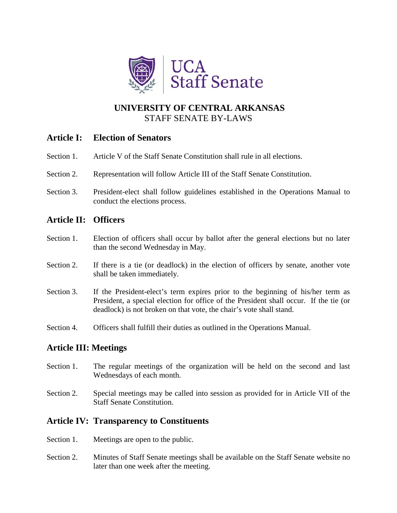

# **UNIVERSITY OF CENTRAL ARKANSAS** STAFF SENATE BY-LAWS

## **Article I: Election of Senators**

- Section 1. Article V of the Staff Senate Constitution shall rule in all elections.
- Section 2. Representation will follow Article III of the Staff Senate Constitution.
- Section 3. President-elect shall follow guidelines established in the Operations Manual to conduct the elections process.

## **Article II: Officers**

- Section 1. Election of officers shall occur by ballot after the general elections but no later than the second Wednesday in May.
- Section 2. If there is a tie (or deadlock) in the election of officers by senate, another vote shall be taken immediately.
- Section 3. If the President-elect's term expires prior to the beginning of his/her term as President, a special election for office of the President shall occur. If the tie (or deadlock) is not broken on that vote, the chair's vote shall stand.
- Section 4. Officers shall fulfill their duties as outlined in the Operations Manual.

### **Article III: Meetings**

- Section 1. The regular meetings of the organization will be held on the second and last Wednesdays of each month.
- Section 2. Special meetings may be called into session as provided for in Article VII of the Staff Senate Constitution.

### **Article IV: Transparency to Constituents**

- Section 1. Meetings are open to the public.
- Section 2. Minutes of Staff Senate meetings shall be available on the Staff Senate website no later than one week after the meeting.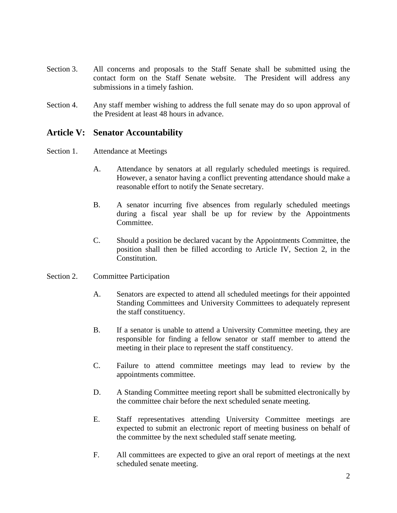- Section 3. All concerns and proposals to the Staff Senate shall be submitted using the contact form on the Staff Senate website. The President will address any submissions in a timely fashion.
- Section 4. Any staff member wishing to address the full senate may do so upon approval of the President at least 48 hours in advance.

### **Article V: Senator Accountability**

#### Section 1. Attendance at Meetings

- A. Attendance by senators at all regularly scheduled meetings is required. However, a senator having a conflict preventing attendance should make a reasonable effort to notify the Senate secretary.
- B. A senator incurring five absences from regularly scheduled meetings during a fiscal year shall be up for review by the Appointments Committee.
- C. Should a position be declared vacant by the Appointments Committee, the position shall then be filled according to Article IV, Section 2, in the Constitution.
- Section 2. Committee Participation
	- A. Senators are expected to attend all scheduled meetings for their appointed Standing Committees and University Committees to adequately represent the staff constituency.
	- B. If a senator is unable to attend a University Committee meeting, they are responsible for finding a fellow senator or staff member to attend the meeting in their place to represent the staff constituency.
	- C. Failure to attend committee meetings may lead to review by the appointments committee.
	- D. A Standing Committee meeting report shall be submitted electronically by the committee chair before the next scheduled senate meeting.
	- E. Staff representatives attending University Committee meetings are expected to submit an electronic report of meeting business on behalf of the committee by the next scheduled staff senate meeting.
	- F. All committees are expected to give an oral report of meetings at the next scheduled senate meeting.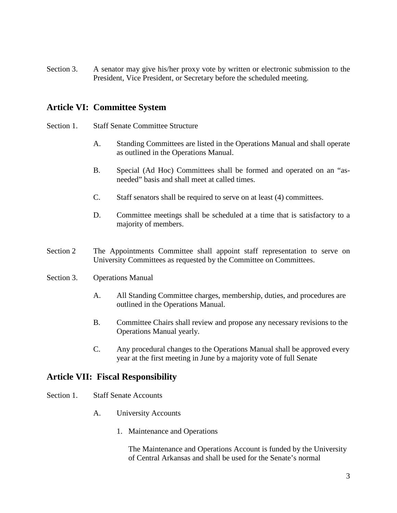Section 3. A senator may give his/her proxy vote by written or electronic submission to the President, Vice President, or Secretary before the scheduled meeting.

### **Article VI: Committee System**

- Section 1. Staff Senate Committee Structure
	- A. Standing Committees are listed in the Operations Manual and shall operate as outlined in the Operations Manual.
	- B. Special (Ad Hoc) Committees shall be formed and operated on an "asneeded" basis and shall meet at called times.
	- C. Staff senators shall be required to serve on at least (4) committees.
	- D. Committee meetings shall be scheduled at a time that is satisfactory to a majority of members.
- Section 2 The Appointments Committee shall appoint staff representation to serve on University Committees as requested by the Committee on Committees.
- Section 3. Operations Manual
	- A. All Standing Committee charges, membership, duties, and procedures are outlined in the Operations Manual.
	- B. Committee Chairs shall review and propose any necessary revisions to the Operations Manual yearly.
	- C. Any procedural changes to the Operations Manual shall be approved every year at the first meeting in June by a majority vote of full Senate

### **Article VII: Fiscal Responsibility**

- Section 1. Staff Senate Accounts
	- A. University Accounts
		- 1. Maintenance and Operations

The Maintenance and Operations Account is funded by the University of Central Arkansas and shall be used for the Senate's normal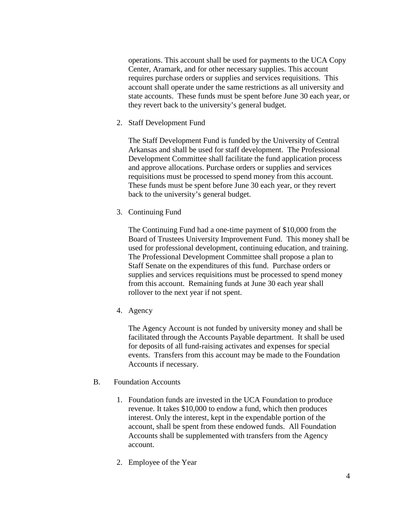operations. This account shall be used for payments to the UCA Copy Center, Aramark, and for other necessary supplies. This account requires purchase orders or supplies and services requisitions. This account shall operate under the same restrictions as all university and state accounts. These funds must be spent before June 30 each year, or they revert back to the university's general budget.

2. Staff Development Fund

The Staff Development Fund is funded by the University of Central Arkansas and shall be used for staff development. The Professional Development Committee shall facilitate the fund application process and approve allocations. Purchase orders or supplies and services requisitions must be processed to spend money from this account. These funds must be spent before June 30 each year, or they revert back to the university's general budget.

3. Continuing Fund

The Continuing Fund had a one-time payment of \$10,000 from the Board of Trustees University Improvement Fund. This money shall be used for professional development, continuing education, and training. The Professional Development Committee shall propose a plan to Staff Senate on the expenditures of this fund. Purchase orders or supplies and services requisitions must be processed to spend money from this account. Remaining funds at June 30 each year shall rollover to the next year if not spent.

4. Agency

The Agency Account is not funded by university money and shall be facilitated through the Accounts Payable department. It shall be used for deposits of all fund-raising activates and expenses for special events. Transfers from this account may be made to the Foundation Accounts if necessary.

- B. Foundation Accounts
	- 1. Foundation funds are invested in the UCA Foundation to produce revenue. It takes \$10,000 to endow a fund, which then produces interest. Only the interest, kept in the expendable portion of the account, shall be spent from these endowed funds. All Foundation Accounts shall be supplemented with transfers from the Agency account.
	- 2. Employee of the Year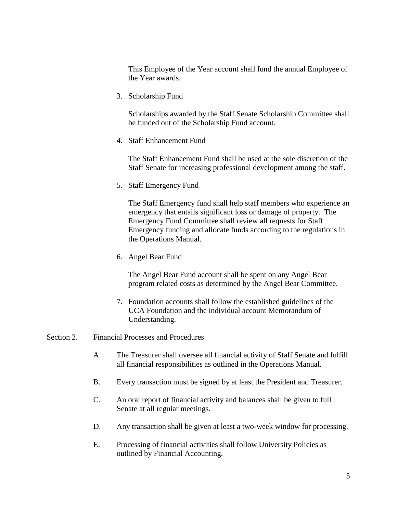This Employee of the Year account shall fund the annual Employee of the Year awards.

3. Scholarship Fund

Scholarships awarded by the Staff Senate Scholarship Committee shall be funded out of the Scholarship Fund account.

4. Staff Enhancement Fund

The Staff Enhancement Fund shall be used at the sole discretion of the Staff Senate for increasing professional development among the staff.

5. Staff Emergency Fund

The Staff Emergency fund shall help staff members who experience an emergency that entails significant loss or damage of property. The Emergency Fund Committee shall review all requests for Staff Emergency funding and allocate funds according to the regulations in the Operations Manual.

6. Angel Bear Fund

The Angel Bear Fund account shall be spent on any Angel Bear program related costs as determined by the Angel Bear Committee.

- 7. Foundation accounts shall follow the established guidelines of the UCA Foundation and the individual account Memorandum of Understanding.
- Section 2. Financial Processes and Procedures
	- A. The Treasurer shall oversee all financial activity of Staff Senate and fulfill all financial responsibilities as outlined in the Operations Manual.
	- B. Every transaction must be signed by at least the President and Treasurer.
	- C. An oral report of financial activity and balances shall be given to full Senate at all regular meetings.
	- D. Any transaction shall be given at least a two-week window for processing.
	- E. Processing of financial activities shall follow University Policies as outlined by Financial Accounting.